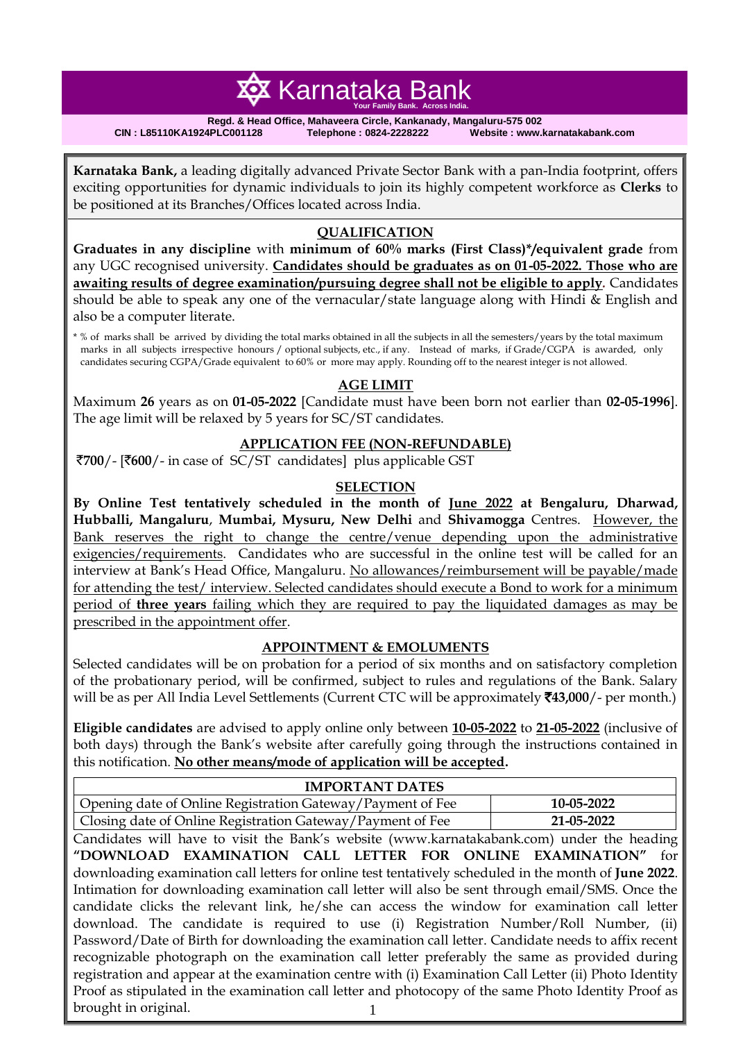# **容** Karnataka Bank  **Your Family Bank. Across India.**

**Regd. & Head Office, Mahaveera Circle, Kankanady, Mangaluru-575 002 CIN : L85110KA1924PLC001128 Telephone : 0824-2228222 Website : www.karnatakabank.com**

**Karnataka Bank,** a leading digitally advanced Private Sector Bank with a pan-India footprint, offers exciting opportunities for dynamic individuals to join its highly competent workforce as **Clerks** to be positioned at its Branches/Offices located across India.

## **QUALIFICATION**

**Graduates in any discipline** with **minimum of 60% marks (First Class)\*/equivalent grade** from any UGC recognised university. **Candidates should be graduates as on 01-05-2022. Those who are awaiting results of degree examination/pursuing degree shall not be eligible to apply***.* Candidates should be able to speak any one of the vernacular/state language along with Hindi  $\&$  English and also be a computer literate.

\* % of marks shall be arrived by dividing the total marks obtained in all the subjects in all the semesters/years by the total maximum marks in all subjects irrespective honours / optional subjects, etc., if any. Instead of marks, if Grade/CGPA is awarded, only candidates securing CGPA/Grade equivalent to 60% or more may apply. Rounding off to the nearest integer is not allowed.

#### **AGE LIMIT**

Maximum **26** years as on **01-05-2022** [Candidate must have been born not earlier than **02-05-1996**]. The age limit will be relaxed by 5 years for SC/ST candidates.

## **APPLICATION FEE (NON-REFUNDABLE)**

`**700**/- [`**600**/- in case of SC/ST candidates] plus applicable GST

#### **SELECTION**

**By Online Test tentatively scheduled in the month of June 2022 at Bengaluru, Dharwad, Hubballi, Mangaluru**, **Mumbai, Mysuru, New Delhi** and **Shivamogga** Centres. However, the Bank reserves the right to change the centre/venue depending upon the administrative exigencies/requirements. Candidates who are successful in the online test will be called for an interview at Bank's Head Office, Mangaluru. No allowances/reimbursement will be payable/made for attending the test/ interview. Selected candidates should execute a Bond to work for a minimum period of **three years** failing which they are required to pay the liquidated damages as may be prescribed in the appointment offer.

#### **APPOINTMENT & EMOLUMENTS**

Selected candidates will be on probation for a period of six months and on satisfactory completion of the probationary period, will be confirmed, subject to rules and regulations of the Bank. Salary will be as per All India Level Settlements (Current CTC will be approximately ₹43,000/- per month.)

**Eligible candidates** are advised to apply online only between **10-05-2022** to **21-05-2022** (inclusive of both days) through the Bank's website after carefully going through the instructions contained in this notification. **No other means/mode of application will be accepted.** 

| <b>IMPORTANT DATES</b>                                                                                 |  |  |            |  |  |  |
|--------------------------------------------------------------------------------------------------------|--|--|------------|--|--|--|
| Opening date of Online Registration Gateway/Payment of Fee                                             |  |  | 10-05-2022 |  |  |  |
| Closing date of Online Registration Gateway/Payment of Fee                                             |  |  | 21-05-2022 |  |  |  |
| Candidates will have to visit the Bank's website (www.karnatakabank.com) under the heading             |  |  |            |  |  |  |
| "DOWNLOAD EXAMINATION CALL LETTER FOR ONLINE EXAMINATION" for                                          |  |  |            |  |  |  |
| downloading examination call letters for online test tentatively scheduled in the month of June 2022.  |  |  |            |  |  |  |
| Intimation for downloading examination call letter will also be sent through email/SMS. Once the       |  |  |            |  |  |  |
| candidate clicks the relevant link, he/she can access the window for examination call letter           |  |  |            |  |  |  |
| download. The candidate is required to use (i) Registration Number/Roll Number, (ii)                   |  |  |            |  |  |  |
| Password/Date of Birth for downloading the examination call letter. Candidate needs to affix recent    |  |  |            |  |  |  |
| recognizable photograph on the examination call letter preferably the same as provided during          |  |  |            |  |  |  |
| registration and appear at the examination centre with (i) Examination Call Letter (ii) Photo Identity |  |  |            |  |  |  |
| Proof as stipulated in the examination call letter and photocopy of the same Photo Identity Proof as   |  |  |            |  |  |  |
| brought in original.                                                                                   |  |  |            |  |  |  |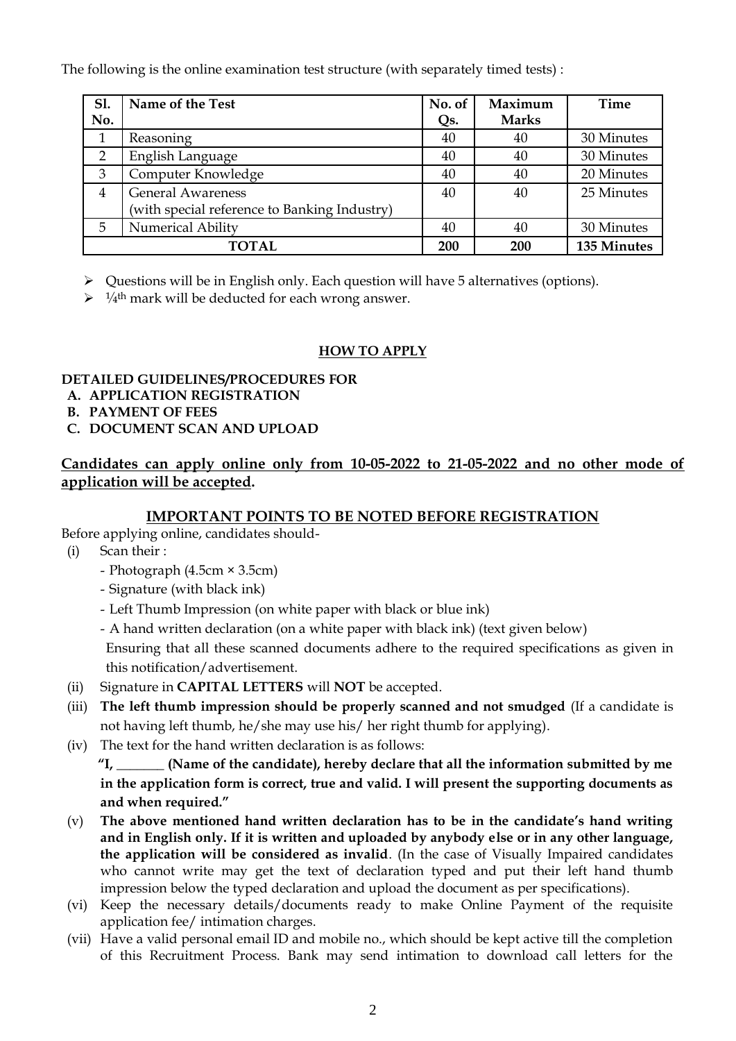The following is the online examination test structure (with separately timed tests) :

| Sl.<br>No. | Name of the Test                             | No. of<br>Qs. | Maximum<br><b>Marks</b> | Time        |
|------------|----------------------------------------------|---------------|-------------------------|-------------|
|            | Reasoning                                    | 40            | 40                      | 30 Minutes  |
| 2          | English Language                             | 40            | 40                      | 30 Minutes  |
| 3          | Computer Knowledge                           | 40            | 40                      | 20 Minutes  |
| 4          | <b>General Awareness</b>                     | 40            | 40                      | 25 Minutes  |
|            | (with special reference to Banking Industry) |               |                         |             |
| 5          | <b>Numerical Ability</b>                     | 40            | 40                      | 30 Minutes  |
|            | <b>TOTAL</b>                                 | 200           | 200                     | 135 Minutes |

Questions will be in English only. Each question will have 5 alternatives (options).

 $\triangleright$  <sup>1</sup>/<sub>4</sub><sup>th</sup> mark will be deducted for each wrong answer.

## **HOW TO APPLY**

## **DETAILED GUIDELINES/PROCEDURES FOR**

- **A. APPLICATION REGISTRATION**
- **B. PAYMENT OF FEES**
- **C. DOCUMENT SCAN AND UPLOAD**

# **Candidates can apply online only from 10-05-2022 to 21-05-2022 and no other mode of application will be accepted.**

## **IMPORTANT POINTS TO BE NOTED BEFORE REGISTRATION**

Before applying online, candidates should-

- (i) Scan their :
	- Photograph (4.5cm × 3.5cm)
	- Signature (with black ink)
	- Left Thumb Impression (on white paper with black or blue ink)
	- A hand written declaration (on a white paper with black ink) (text given below)

Ensuring that all these scanned documents adhere to the required specifications as given in this notification/advertisement.

- (ii) Signature in **CAPITAL LETTERS** will **NOT** be accepted.
- (iii) **The left thumb impression should be properly scanned and not smudged** (If a candidate is not having left thumb, he/she may use his/ her right thumb for applying).
- (iv) The text for the hand written declaration is as follows:

**"I, \_\_\_\_\_\_\_ (Name of the candidate), hereby declare that all the information submitted by me in the application form is correct, true and valid. I will present the supporting documents as and when required."** 

- (v) **The above mentioned hand written declaration has to be in the candidate's hand writing and in English only. If it is written and uploaded by anybody else or in any other language, the application will be considered as invalid**. (In the case of Visually Impaired candidates who cannot write may get the text of declaration typed and put their left hand thumb impression below the typed declaration and upload the document as per specifications).
- (vi) Keep the necessary details/documents ready to make Online Payment of the requisite application fee/ intimation charges.
- (vii) Have a valid personal email ID and mobile no., which should be kept active till the completion of this Recruitment Process. Bank may send intimation to download call letters for the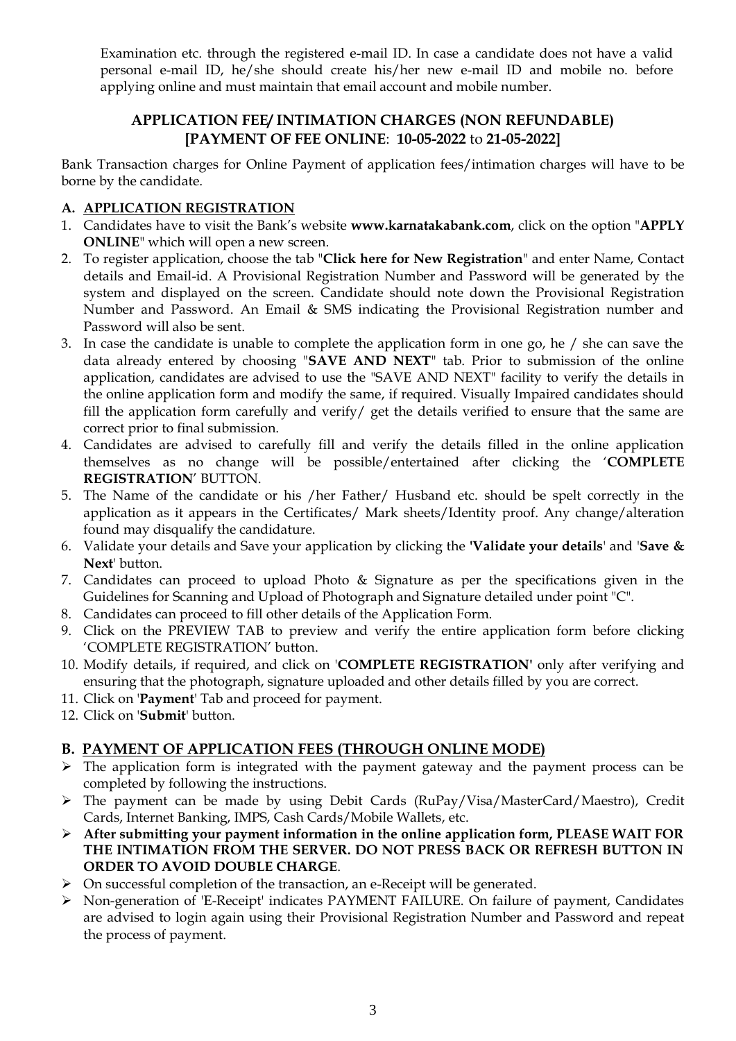Examination etc. through the registered e-mail ID. In case a candidate does not have a valid personal e-mail ID, he/she should create his/her new e-mail ID and mobile no. before applying online and must maintain that email account and mobile number.

## **APPLICATION FEE/ INTIMATION CHARGES (NON REFUNDABLE) [PAYMENT OF FEE ONLINE**: **10-05-2022** to **21-05-2022]**

Bank Transaction charges for Online Payment of application fees/intimation charges will have to be borne by the candidate.

## **A. APPLICATION REGISTRATION**

- 1. Candidates have to visit the Bank's website **www.karnatakabank.com**, click on the option "**APPLY ONLINE**" which will open a new screen.
- 2. To register application, choose the tab "**Click here for New Registration**" and enter Name, Contact details and Email-id. A Provisional Registration Number and Password will be generated by the system and displayed on the screen. Candidate should note down the Provisional Registration Number and Password. An Email & SMS indicating the Provisional Registration number and Password will also be sent.
- 3. In case the candidate is unable to complete the application form in one go, he / she can save the data already entered by choosing "**SAVE AND NEXT**" tab. Prior to submission of the online application, candidates are advised to use the "SAVE AND NEXT" facility to verify the details in the online application form and modify the same, if required. Visually Impaired candidates should fill the application form carefully and verify/ get the details verified to ensure that the same are correct prior to final submission.
- 4. Candidates are advised to carefully fill and verify the details filled in the online application themselves as no change will be possible/entertained after clicking the '**COMPLETE REGISTRATION**' BUTTON.
- 5. The Name of the candidate or his /her Father/ Husband etc. should be spelt correctly in the application as it appears in the Certificates/ Mark sheets/Identity proof. Any change/alteration found may disqualify the candidature.
- 6. Validate your details and Save your application by clicking the **'Validate your details**' and '**Save & Next**' button.
- 7. Candidates can proceed to upload Photo & Signature as per the specifications given in the Guidelines for Scanning and Upload of Photograph and Signature detailed under point "C".
- 8. Candidates can proceed to fill other details of the Application Form.
- 9. Click on the PREVIEW TAB to preview and verify the entire application form before clicking 'COMPLETE REGISTRATION' button.
- 10. Modify details, if required, and click on '**COMPLETE REGISTRATION'** only after verifying and ensuring that the photograph, signature uploaded and other details filled by you are correct.
- 11. Click on '**Payment**' Tab and proceed for payment.
- 12. Click on '**Submit**' button.

# **B. PAYMENT OF APPLICATION FEES (THROUGH ONLINE MODE)**

- $\triangleright$  The application form is integrated with the payment gateway and the payment process can be completed by following the instructions.
- The payment can be made by using Debit Cards (RuPay/Visa/MasterCard/Maestro), Credit Cards, Internet Banking, IMPS, Cash Cards/Mobile Wallets, etc.
- **After submitting your payment information in the online application form, PLEASE WAIT FOR THE INTIMATION FROM THE SERVER. DO NOT PRESS BACK OR REFRESH BUTTON IN ORDER TO AVOID DOUBLE CHARGE**.
- On successful completion of the transaction, an e-Receipt will be generated.
- Non-generation of 'E-Receipt' indicates PAYMENT FAILURE. On failure of payment, Candidates are advised to login again using their Provisional Registration Number and Password and repeat the process of payment.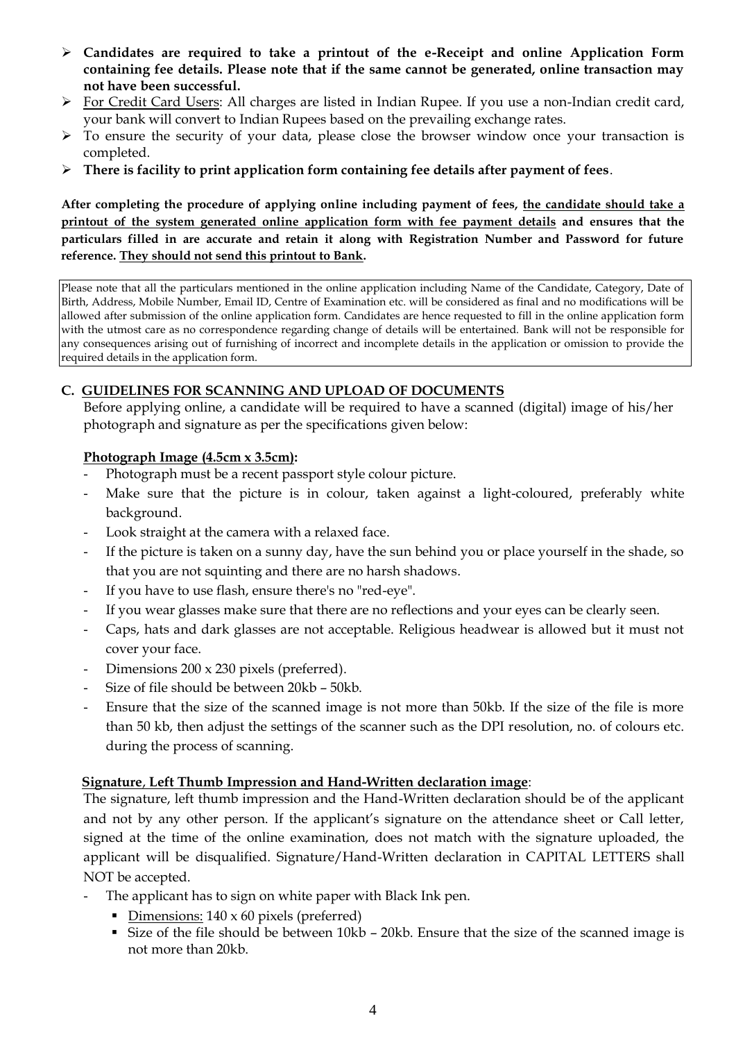- **Candidates are required to take a printout of the e-Receipt and online Application Form containing fee details. Please note that if the same cannot be generated, online transaction may not have been successful.**
- For Credit Card Users: All charges are listed in Indian Rupee. If you use a non-Indian credit card, your bank will convert to Indian Rupees based on the prevailing exchange rates.
- $\triangleright$  To ensure the security of your data, please close the browser window once your transaction is completed.
- **There is facility to print application form containing fee details after payment of fees**.

**After completing the procedure of applying online including payment of fees, the candidate should take a printout of the system generated online application form with fee payment details and ensures that the particulars filled in are accurate and retain it along with Registration Number and Password for future reference. They should not send this printout to Bank.**

Please note that all the particulars mentioned in the online application including Name of the Candidate, Category, Date of Birth, Address, Mobile Number, Email ID, Centre of Examination etc. will be considered as final and no modifications will be allowed after submission of the online application form. Candidates are hence requested to fill in the online application form with the utmost care as no correspondence regarding change of details will be entertained. Bank will not be responsible for any consequences arising out of furnishing of incorrect and incomplete details in the application or omission to provide the required details in the application form.

### **C. GUIDELINES FOR SCANNING AND UPLOAD OF DOCUMENTS**

Before applying online, a candidate will be required to have a scanned (digital) image of his/her photograph and signature as per the specifications given below:

### **Photograph Image (4.5cm x 3.5cm):**

- Photograph must be a recent passport style colour picture.
- Make sure that the picture is in colour, taken against a light-coloured, preferably white background.
- Look straight at the camera with a relaxed face.
- If the picture is taken on a sunny day, have the sun behind you or place yourself in the shade, so that you are not squinting and there are no harsh shadows.
- If you have to use flash, ensure there's no "red-eye".
- If you wear glasses make sure that there are no reflections and your eyes can be clearly seen.
- Caps, hats and dark glasses are not acceptable. Religious headwear is allowed but it must not cover your face.
- Dimensions 200 x 230 pixels (preferred).
- Size of file should be between 20kb 50kb.
- Ensure that the size of the scanned image is not more than 50kb. If the size of the file is more than 50 kb, then adjust the settings of the scanner such as the DPI resolution, no. of colours etc. during the process of scanning.

#### **Signature**, **Left Thumb Impression and Hand-Written declaration image**:

The signature, left thumb impression and the Hand-Written declaration should be of the applicant and not by any other person. If the applicant's signature on the attendance sheet or Call letter, signed at the time of the online examination, does not match with the signature uploaded, the applicant will be disqualified. Signature/Hand-Written declaration in CAPITAL LETTERS shall NOT be accepted.

- The applicant has to sign on white paper with Black Ink pen.
	- Dimensions:  $140 \times 60$  pixels (preferred)
	- Size of the file should be between 10kb 20kb. Ensure that the size of the scanned image is not more than 20kb.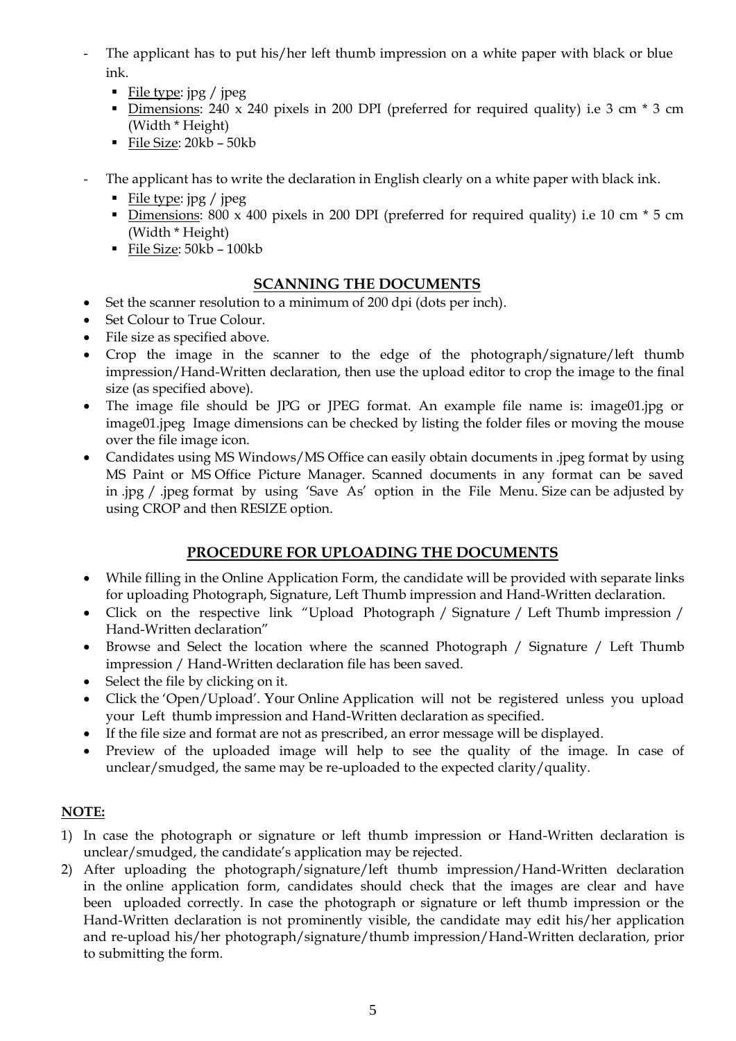- The applicant has to put his/her left thumb impression on a white paper with black or blue ink.
	- File type:  $ipg / peg$
	- Dimensions:  $240 \times 240$  pixels in 200 DPI (preferred for required quality) i.e 3 cm  $*$  3 cm (Width \* Height)
	- File Size: 20kb 50kb
- The applicant has to write the declaration in English clearly on a white paper with black ink.
	- File type:  $ipg / ipeg$
	- Dimensions:  $800 \times 400$  pixels in 200 DPI (preferred for required quality) i.e 10 cm  $*$  5 cm (Width \* Height)
	- File Size: 50kb 100kb

# **SCANNING THE DOCUMENTS**

- Set the scanner resolution to a minimum of 200 dpi (dots per inch).
- Set Colour to True Colour.
- File size as specified above.
- Crop the image in the scanner to the edge of the photograph/signature/left thumb impression/Hand-Written declaration, then use the upload editor to crop the image to the final size (as specified above).
- The image file should be JPG or JPEG format. An example file name is: image01.jpg or image01.jpeg Image dimensions can be checked by listing the folder files or moving the mouse over the file image icon.
- Candidates using MS Windows/MS Office can easily obtain documents in .jpeg format by using MS Paint or MS Office Picture Manager. Scanned documents in any format can be saved in .jpg / .jpeg format by using 'Save As' option in the File Menu. Size can be adjusted by using CROP and then RESIZE option.

# **PROCEDURE FOR UPLOADING THE DOCUMENTS**

- While filling in the Online Application Form, the candidate will be provided with separate links for uploading Photograph, Signature, Left Thumb impression and Hand-Written declaration.
- Click on the respective link "Upload Photograph / Signature / Left Thumb impression / Hand-Written declaration"
- Browse and Select the location where the scanned Photograph / Signature / Left Thumb impression / Hand-Written declaration file has been saved.
- Select the file by clicking on it.
- Click the 'Open/Upload'. Your Online Application will not be registered unless you upload your Left thumb impression and Hand-Written declaration as specified.
- If the file size and format are not as prescribed, an error message will be displayed.
- Preview of the uploaded image will help to see the quality of the image. In case of unclear/smudged, the same may be re-uploaded to the expected clarity/quality.

# **NOTE:**

- 1) In case the photograph or signature or left thumb impression or Hand-Written declaration is unclear/smudged, the candidate's application may be rejected.
- 2) After uploading the photograph/signature/left thumb impression/Hand-Written declaration in the online application form, candidates should check that the images are clear and have been uploaded correctly. In case the photograph or signature or left thumb impression or the Hand-Written declaration is not prominently visible, the candidate may edit his/her application and re-upload his/her photograph/signature/thumb impression/Hand-Written declaration, prior to submitting the form.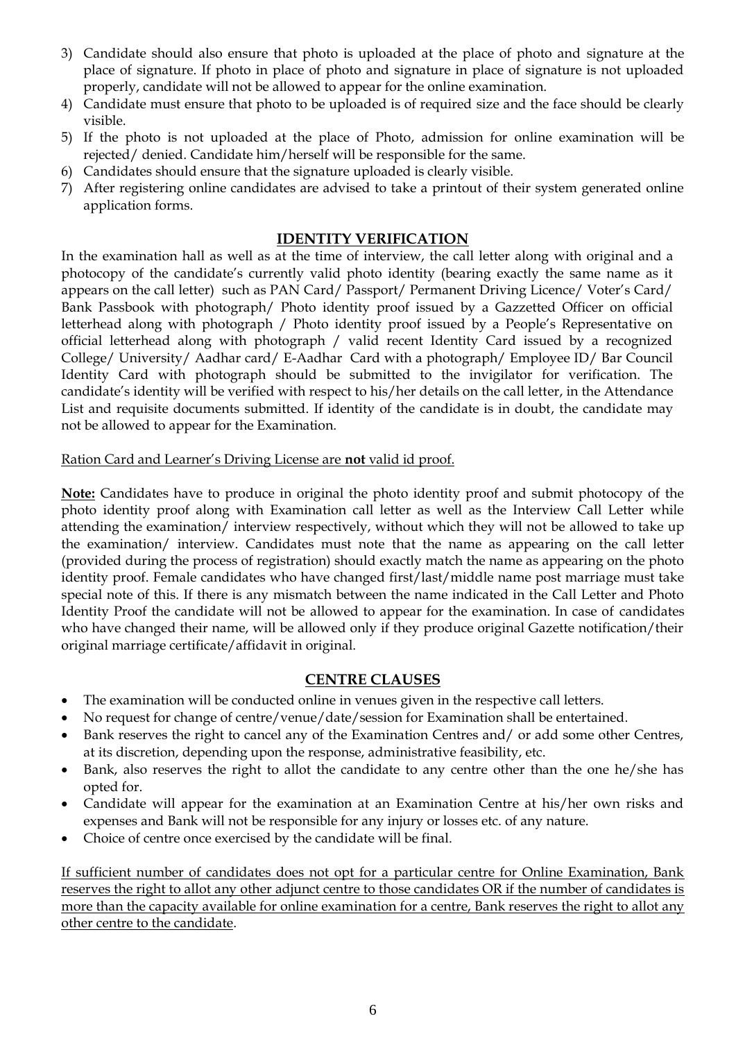- 3) Candidate should also ensure that photo is uploaded at the place of photo and signature at the place of signature. If photo in place of photo and signature in place of signature is not uploaded properly, candidate will not be allowed to appear for the online examination.
- 4) Candidate must ensure that photo to be uploaded is of required size and the face should be clearly visible.
- 5) If the photo is not uploaded at the place of Photo, admission for online examination will be rejected/ denied. Candidate him/herself will be responsible for the same.
- 6) Candidates should ensure that the signature uploaded is clearly visible.
- 7) After registering online candidates are advised to take a printout of their system generated online application forms.

### **IDENTITY VERIFICATION**

In the examination hall as well as at the time of interview, the call letter along with original and a photocopy of the candidate's currently valid photo identity (bearing exactly the same name as it appears on the call letter) such as PAN Card/ Passport/ Permanent Driving Licence/ Voter's Card/ Bank Passbook with photograph/ Photo identity proof issued by a Gazzetted Officer on official letterhead along with photograph / Photo identity proof issued by a People's Representative on official letterhead along with photograph / valid recent Identity Card issued by a recognized College/ University/ Aadhar card/ E-Aadhar Card with a photograph/ Employee ID/ Bar Council Identity Card with photograph should be submitted to the invigilator for verification. The candidate's identity will be verified with respect to his/her details on the call letter, in the Attendance List and requisite documents submitted. If identity of the candidate is in doubt, the candidate may not be allowed to appear for the Examination.

#### Ration Card and Learner's Driving License are **not** valid id proof.

**Note:** Candidates have to produce in original the photo identity proof and submit photocopy of the photo identity proof along with Examination call letter as well as the Interview Call Letter while attending the examination/ interview respectively, without which they will not be allowed to take up the examination/ interview. Candidates must note that the name as appearing on the call letter (provided during the process of registration) should exactly match the name as appearing on the photo identity proof. Female candidates who have changed first/last/middle name post marriage must take special note of this. If there is any mismatch between the name indicated in the Call Letter and Photo Identity Proof the candidate will not be allowed to appear for the examination. In case of candidates who have changed their name, will be allowed only if they produce original Gazette notification/their original marriage certificate/affidavit in original.

## **CENTRE CLAUSES**

- The examination will be conducted online in venues given in the respective call letters.
- No request for change of centre/venue/date/session for Examination shall be entertained.
- Bank reserves the right to cancel any of the Examination Centres and/ or add some other Centres, at its discretion, depending upon the response, administrative feasibility, etc.
- Bank, also reserves the right to allot the candidate to any centre other than the one he/she has opted for.
- Candidate will appear for the examination at an Examination Centre at his/her own risks and expenses and Bank will not be responsible for any injury or losses etc. of any nature.
- Choice of centre once exercised by the candidate will be final.

If sufficient number of candidates does not opt for a particular centre for Online Examination, Bank reserves the right to allot any other adjunct centre to those candidates OR if the number of candidates is more than the capacity available for online examination for a centre, Bank reserves the right to allot any other centre to the candidate.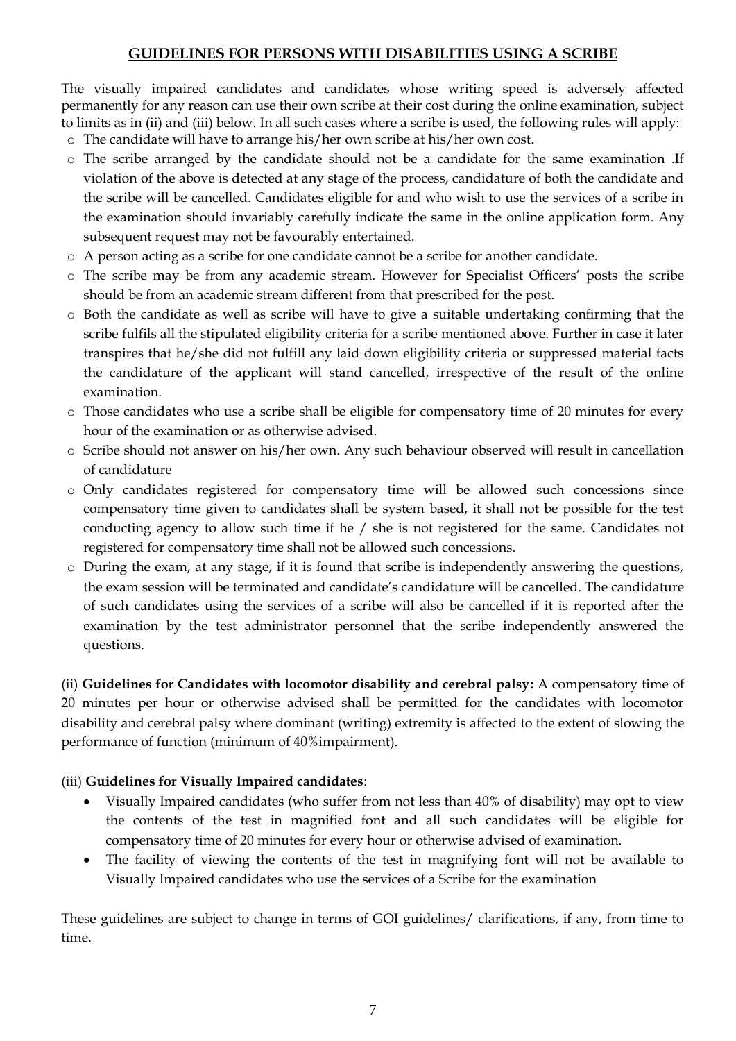## **GUIDELINES FOR PERSONS WITH DISABILITIES USING A SCRIBE**

The visually impaired candidates and candidates whose writing speed is adversely affected permanently for any reason can use their own scribe at their cost during the online examination, subject to limits as in (ii) and (iii) below. In all such cases where a scribe is used, the following rules will apply:

- o The candidate will have to arrange his/her own scribe at his/her own cost.
- o The scribe arranged by the candidate should not be a candidate for the same examination .If violation of the above is detected at any stage of the process, candidature of both the candidate and the scribe will be cancelled. Candidates eligible for and who wish to use the services of a scribe in the examination should invariably carefully indicate the same in the online application form. Any subsequent request may not be favourably entertained.
- o A person acting as a scribe for one candidate cannot be a scribe for another candidate.
- o The scribe may be from any academic stream. However for Specialist Officers' posts the scribe should be from an academic stream different from that prescribed for the post.
- o Both the candidate as well as scribe will have to give a suitable undertaking confirming that the scribe fulfils all the stipulated eligibility criteria for a scribe mentioned above. Further in case it later transpires that he/she did not fulfill any laid down eligibility criteria or suppressed material facts the candidature of the applicant will stand cancelled, irrespective of the result of the online examination.
- o Those candidates who use a scribe shall be eligible for compensatory time of 20 minutes for every hour of the examination or as otherwise advised.
- o Scribe should not answer on his/her own. Any such behaviour observed will result in cancellation of candidature
- o Only candidates registered for compensatory time will be allowed such concessions since compensatory time given to candidates shall be system based, it shall not be possible for the test conducting agency to allow such time if he / she is not registered for the same. Candidates not registered for compensatory time shall not be allowed such concessions.
- o During the exam, at any stage, if it is found that scribe is independently answering the questions, the exam session will be terminated and candidate's candidature will be cancelled. The candidature of such candidates using the services of a scribe will also be cancelled if it is reported after the examination by the test administrator personnel that the scribe independently answered the questions.

(ii) **Guidelines for Candidates with locomotor disability and cerebral palsy:** A compensatory time of 20 minutes per hour or otherwise advised shall be permitted for the candidates with locomotor disability and cerebral palsy where dominant (writing) extremity is affected to the extent of slowing the performance of function (minimum of 40%impairment).

#### (iii) **Guidelines for Visually Impaired candidates**:

- Visually Impaired candidates (who suffer from not less than 40% of disability) may opt to view the contents of the test in magnified font and all such candidates will be eligible for compensatory time of 20 minutes for every hour or otherwise advised of examination.
- The facility of viewing the contents of the test in magnifying font will not be available to Visually Impaired candidates who use the services of a Scribe for the examination

These guidelines are subject to change in terms of GOI guidelines/ clarifications, if any, from time to time.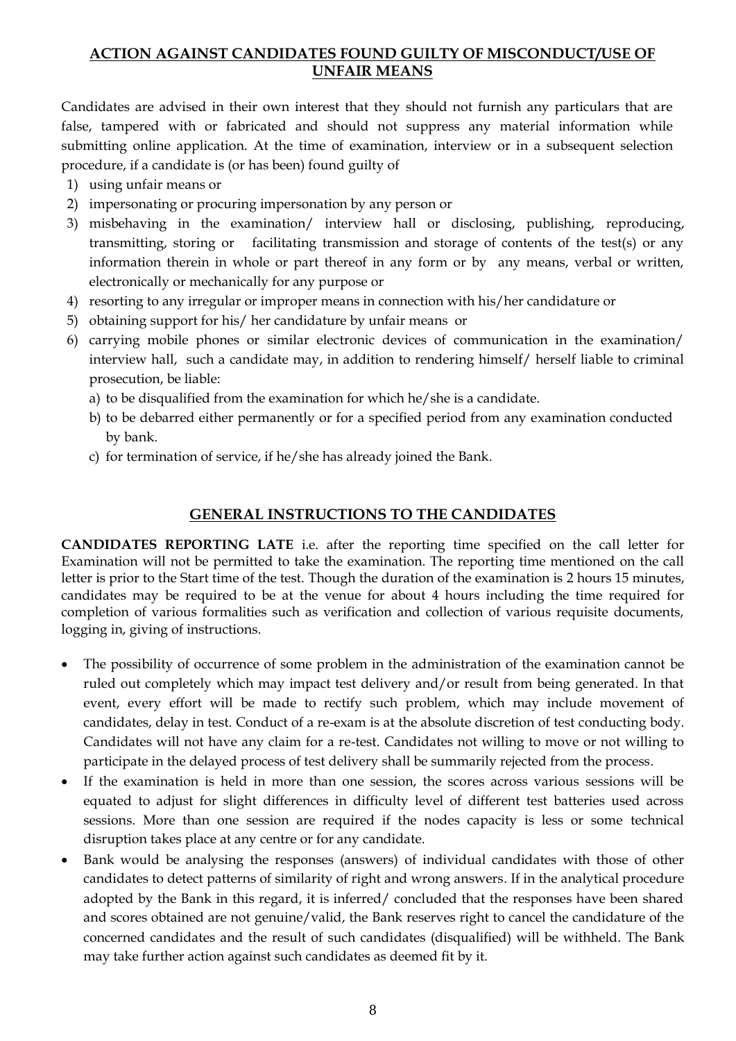## **ACTION AGAINST CANDIDATES FOUND GUILTY OF MISCONDUCT/USE OF UNFAIR MEANS**

Candidates are advised in their own interest that they should not furnish any particulars that are false, tampered with or fabricated and should not suppress any material information while submitting online application. At the time of examination, interview or in a subsequent selection procedure, if a candidate is (or has been) found guilty of

- 1) using unfair means or
- 2) impersonating or procuring impersonation by any person or
- 3) misbehaving in the examination/ interview hall or disclosing, publishing, reproducing, transmitting, storing or facilitating transmission and storage of contents of the test(s) or any information therein in whole or part thereof in any form or by any means, verbal or written, electronically or mechanically for any purpose or
- 4) resorting to any irregular or improper means in connection with his/her candidature or
- 5) obtaining support for his/ her candidature by unfair means or
- 6) carrying mobile phones or similar electronic devices of communication in the examination/ interview hall, such a candidate may, in addition to rendering himself/ herself liable to criminal prosecution, be liable:
	- a) to be disqualified from the examination for which he/she is a candidate.
	- b) to be debarred either permanently or for a specified period from any examination conducted by bank.
	- c) for termination of service, if he/she has already joined the Bank.

## **GENERAL INSTRUCTIONS TO THE CANDIDATES**

**CANDIDATES REPORTING LATE** i.e. after the reporting time specified on the call letter for Examination will not be permitted to take the examination. The reporting time mentioned on the call letter is prior to the Start time of the test. Though the duration of the examination is 2 hours 15 minutes, candidates may be required to be at the venue for about 4 hours including the time required for completion of various formalities such as verification and collection of various requisite documents, logging in, giving of instructions.

- The possibility of occurrence of some problem in the administration of the examination cannot be ruled out completely which may impact test delivery and/or result from being generated. In that event, every effort will be made to rectify such problem, which may include movement of candidates, delay in test. Conduct of a re-exam is at the absolute discretion of test conducting body. Candidates will not have any claim for a re-test. Candidates not willing to move or not willing to participate in the delayed process of test delivery shall be summarily rejected from the process.
- If the examination is held in more than one session, the scores across various sessions will be equated to adjust for slight differences in difficulty level of different test batteries used across sessions. More than one session are required if the nodes capacity is less or some technical disruption takes place at any centre or for any candidate.
- Bank would be analysing the responses (answers) of individual candidates with those of other candidates to detect patterns of similarity of right and wrong answers. If in the analytical procedure adopted by the Bank in this regard, it is inferred/ concluded that the responses have been shared and scores obtained are not genuine/valid, the Bank reserves right to cancel the candidature of the concerned candidates and the result of such candidates (disqualified) will be withheld. The Bank may take further action against such candidates as deemed fit by it.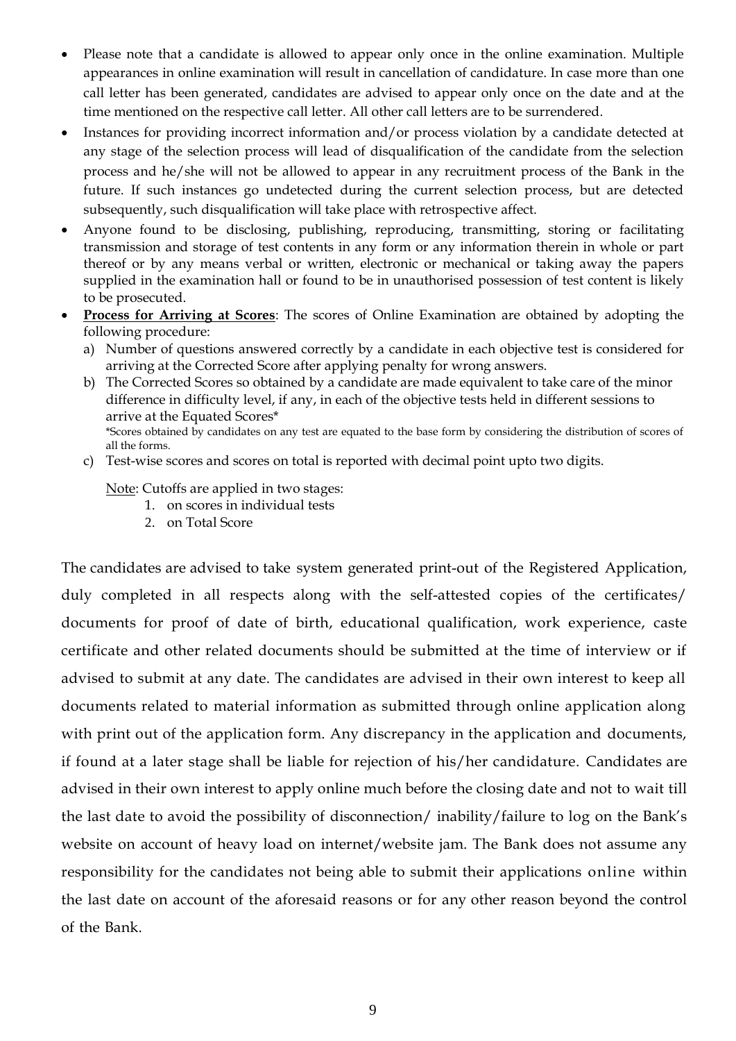- Please note that a candidate is allowed to appear only once in the online examination. Multiple appearances in online examination will result in cancellation of candidature. In case more than one call letter has been generated, candidates are advised to appear only once on the date and at the time mentioned on the respective call letter. All other call letters are to be surrendered.
- Instances for providing incorrect information and/or process violation by a candidate detected at any stage of the selection process will lead of disqualification of the candidate from the selection process and he/she will not be allowed to appear in any recruitment process of the Bank in the future. If such instances go undetected during the current selection process, but are detected subsequently, such disqualification will take place with retrospective affect.
- Anyone found to be disclosing, publishing, reproducing, transmitting, storing or facilitating transmission and storage of test contents in any form or any information therein in whole or part thereof or by any means verbal or written, electronic or mechanical or taking away the papers supplied in the examination hall or found to be in unauthorised possession of test content is likely to be prosecuted.
- **Process for Arriving at Scores**: The scores of Online Examination are obtained by adopting the following procedure:
	- a) Number of questions answered correctly by a candidate in each objective test is considered for arriving at the Corrected Score after applying penalty for wrong answers.
	- b) The Corrected Scores so obtained by a candidate are made equivalent to take care of the minor difference in difficulty level, if any, in each of the objective tests held in different sessions to arrive at the Equated Scores\* \*Scores obtained by candidates on any test are equated to the base form by considering the distribution of scores of all the forms.
	- c) Test-wise scores and scores on total is reported with decimal point upto two digits.

Note: Cutoffs are applied in two stages:

- 1. on scores in individual tests
- 2. on Total Score

The candidates are advised to take system generated print-out of the Registered Application, duly completed in all respects along with the self-attested copies of the certificates/ documents for proof of date of birth, educational qualification, work experience, caste certificate and other related documents should be submitted at the time of interview or if advised to submit at any date. The candidates are advised in their own interest to keep all documents related to material information as submitted through online application along with print out of the application form. Any discrepancy in the application and documents, if found at a later stage shall be liable for rejection of his/her candidature. Candidates are advised in their own interest to apply online much before the closing date and not to wait till the last date to avoid the possibility of disconnection/ inability/failure to log on the Bank's website on account of heavy load on internet/website jam. The Bank does not assume any responsibility for the candidates not being able to submit their applications online within the last date on account of the aforesaid reasons or for any other reason beyond the control of the Bank.